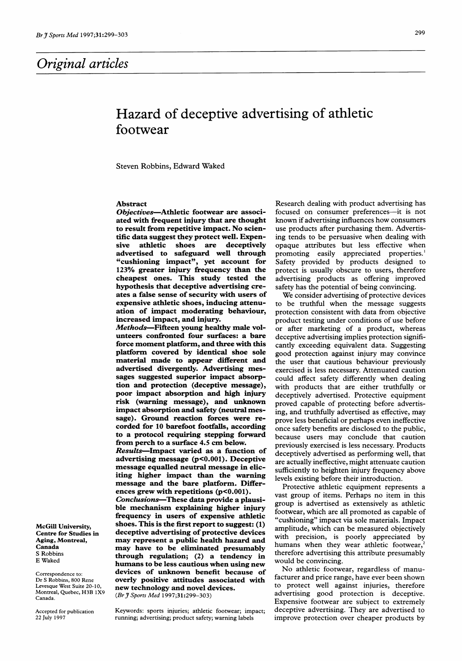# Hazard of deceptive advertising of athletic footwear

Steven Robbins, Edward Waked

# Abstract

Objectives-Athletic footwear are associated with frequent injury that are thought to result from repetitive impact. No scientific data suggest they protect well. Expen-<br>sive athletic shoes are deceptively athletic shoes are deceptively advertised to safeguard well through "cushioning impact", yet account for 123% greater injury frequency than the cheapest ones. This study tested the hypothesis that deceptive advertising creates a false sense of security with users of expensive athletic shoes, inducing attenuation of impact moderating behaviour, increased impact, and injury.

Methods-Fifteen young healthy male volunteers confronted four surfaces: a bare force moment platform, and three with this platform covered by identical shoe sole material made to appear different and advertised divergently. Advertising messages suggested superior impact absorption and protection (deceptive message), poor impact absorption and high injury risk (warning message), and unknown impact absorption and safety (neutral message). Ground reaction forces were recorded for 10 barefoot footfalls, according to a protocol requiring stepping forward from perch to a surface 4.5 cm below.

Results-Impact varied as a function of advertising message (p<0.001). Deceptive message equalled neutral message in eliciting higher impact than the warning message and the bare platform. Differences grew with repetitions (p<0.001).

Conclusions-These data provide a plausible mechanism explaining higher injury frequency in users of expensive athletic shoes. This is the first report to suggest: (1) deceptive advertising of protective devices may represent a public health hazard and may have to be eliminated presumably through regulation; (2) a tendency in humans to be less cautious when using new devices of unknown benefit because of overly positive attitudes associated with new technology and novel devices.

(BrJ Sports Med 1997;31:299-303)

Accepted for publication 22 July 1997

McGill University, Centre for Studies in Aging, Montreal, Canada S Robbins E Waked

Correspondence to: Dr S Robbins, 800 Rene Levesque West Suite 20-10 Montreal, Quebec, H3B IX9

Canada.

Keywords: sports injuries; athletic footwear; impact; running; advertising; product safety; warning labels

Research dealing with product advertising has focused on consumer preferences-it is not known if advertising influences how consumers use products after purchasing them. Advertising tends to be persuasive when dealing with opaque attributes but less effective when promoting easily appreciated properties.' Safety provided by products designed to protect is usually obscure to users, therefore advertising products as offering improved safety has the potential of being convincing.

We consider advertising of protective devices to be truthful when the message suggests protection consistent with data from objective product testing under conditions of use before or after marketing of a product, whereas deceptive advertising implies protection significantly exceeding equivalent data. Suggesting good protection against injury may convince the user that cautious behaviour previously exercised is less necessary. Attenuated caution could affect safety differently when dealing with products that are either truthfully or deceptively advertised. Protective equipment proved capable of protecting before advertising, and truthfully advertised as effective, may prove less beneficial or perhaps even ineffective once safety benefits are disclosed to the public, because users may conclude that caution previously exercised is less necessary. Products deceptively advertised as performing well, that are actually ineffective, might attenuate caution sufficiently to heighten injury frequency above levels existing before their introduction.

Protective athletic equipment represents a vast group of items. Perhaps no item in this group is advertised as extensively as athletic footwear, which are all promoted as capable of "cushioning" impact via sole materials. Impact amplitude, which can be measured objectively with precision, is poorly appreciated by humans when they wear athletic footwear,<sup>2</sup> therefore advertising this attribute presumably would be convincing.

No athletic footwear, regardless of manufacturer and price range, have ever been shown to protect well against injuries, therefore advertising good protection is deceptive. Expensive footwear are subject to extremely deceptive advertising. They are advertised to improve protection over cheaper products by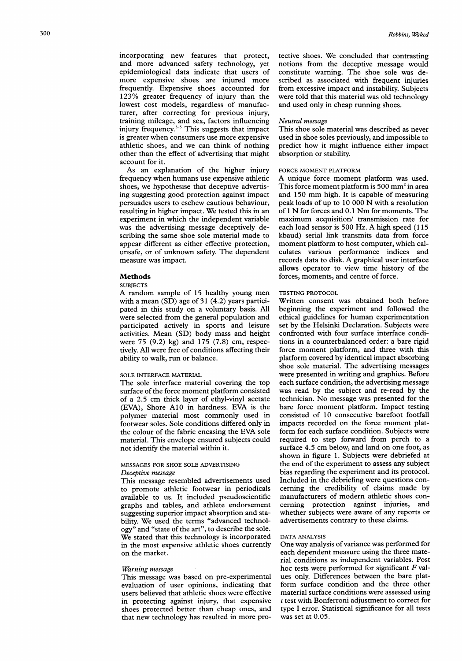incorporating new features that protect, and more advanced safety technology, yet epidemiological data indicate that users of more expensive shoes are injured more frequently. Expensive shoes accounted for 123% greater frequency of injury than the lowest cost models, regardless of manufacturer, after correcting for previous injury, training mileage, and sex, factors influencing injury frequency.<sup>3-5</sup> This suggests that impact is greater when consumers use more expensive athletic shoes, and we can think of nothing other than the effect of advertising that might account for it.

As an explanation of the higher injury frequency when humans use expensive athletic shoes, we hypothesise that deceptive advertising suggesting good protection against impact persuades users to eschew cautious behaviour, resulting in higher impact. We tested this in an experiment in which the independent variable was the advertising message deceptively describing the same shoe sole material made to appear different as either effective protection, unsafe, or of unknown safety. The dependent measure was impact.

## Methods

## **SUBJECTS**

A random sample of <sup>15</sup> healthy young men with a mean (SD) age of 31 (4.2) years participated in this study on a voluntary basis. All were selected from the general population and participated actively in sports and leisure activities. Mean (SD) body mass and height were 75 (9.2) kg) and 175 (7.8) cm, respectively. All were free of conditions affecting their ability to walk, run or balance.

## SOLE INTERFACE MATERIAL

The sole interface material covering the top surface of the force moment platform consisted of <sup>a</sup> 2.5 cm thick layer of ethyl-vinyl acetate (EVA), Shore Al0 in hardness. EVA is the polymer material most commonly used in footwear soles. Sole conditions differed only in the colour of the fabric encasing the EVA sole material. This envelope ensured subjects could not identify the material within it.

## MESSAGES FOR SHOE SOLE ADVERTISING Deceptive message

This message resembled advertisements used to promote athletic footwear in periodicals available to us. It included pseudoscientific graphs and tables, and athlete endorsement suggesting superior impact absorption and stability. We used the terms "advanced technology" and "state of the art", to describe the sole. We stated that this technology is incorporated in the most expensive athletic shoes currently on the market.

## Warning message

This message was based on pre-experimental evaluation of user opinions, indicating that users believed that athletic shoes were effective in protecting against injury, that expensive shoes protected better than cheap ones, and that new technology has resulted in more pro-

tective shoes. We concluded that contrasting notions from the deceptive message would constitute warning. The shoe sole was described as associated with frequent injuries from excessive impact and instability. Subjects were told that this material was old technology and used only in cheap running shoes.

#### Neutral message

This shoe sole material was described as never used in shoe soles previously, and impossible to predict how it might influence either impact absorption or stability.

# FORCE MOMENT PLATFORM

A unique force moment platform was used. This force moment platform is 500 mm' in area and <sup>150</sup> mm high. It is capable of measuring peak loads of up to <sup>10</sup> <sup>000</sup> N with <sup>a</sup> resolution of <sup>1</sup> N for forces and 0.1 Nm for moments. The maximum acquisition/ transmission rate for each load sensor is 500 Hz. A high speed (115 kbaud) serial link transmits data from force moment platform to host computer, which calculates various performance indices and records data to disk. A graphical user interface allows operator to view time history of the forces, moments, and centre of force.

#### TESTING PROTOCOL

Written consent was obtained both before beginning the experiment and followed the ethical guidelines for human experimentation set by the Helsinki Declaration. Subjects were confronted with four surface interface conditions in a counterbalanced order: a bare rigid force moment platform, and three with this platform covered by identical impact absorbing shoe sole material. The advertising messages were presented in writing and graphics. Before each surface condition, the advertising message was read by the subject and re-read by the technician. No message was presented for the bare force moment platform. Impact testing consisted of 10 consecutive barefoot footfall impacts recorded on the force moment platform for each surface condition. Subjects were required to step forward from perch to a surface 4.5 cm below, and land on one foot, as shown in figure 1. Subjects were debriefed at the end of the experiment to assess any subject bias regarding the experiment and its protocol. Included in the debriefing were questions concerning the credibility of claims made by manufacturers of modern athletic shoes concerning protection against injuries, and whether subjects were aware of any reports or advertisements contrary to these claims.

#### DATA ANALYSIS

One way analysis of variance was performed for each dependent measure using the three material conditions as independent variables. Post hoc tests were performed for significant  $F$  values only. Differences between the bare platform surface condition and the three other material surface conditions were assessed using <sup>t</sup> test with Bonferroni adjustment to correct for type <sup>I</sup> error. Statistical significance for all tests was set at 0.05.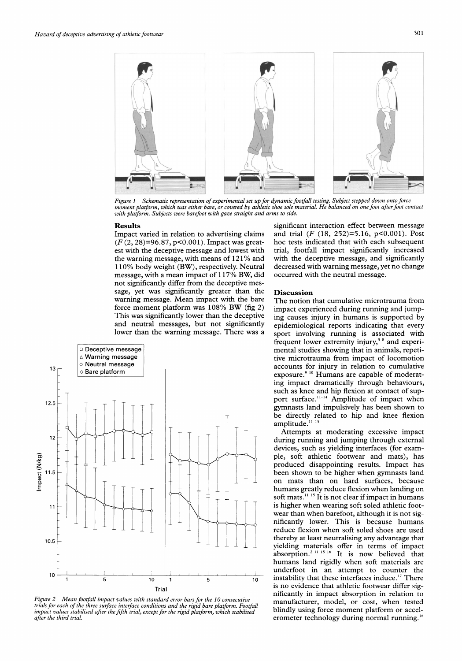

Figure <sup>I</sup> Schematic representation of experimental set up for dynamic footfall testing. Subject stepped down onto force moment platform, which was either bare, or covered by athletic shoe sole material. He balanced on one foot after foot contact with platform. Subjects were barefoot with gaze straight and arms to side.

#### Results

Impact varied in relation to advertising claims  $(F (2, 28) = 96.87, p < 0.001)$ . Impact was greatest with the deceptive message and lowest with the warning message, with means of <sup>121</sup> % and 110% body weight (BW), respectively. Neutral message, with <sup>a</sup> mean impact of <sup>1</sup> 17% BW, did not significantly differ from the deceptive message, yet was significantly greater than the warning message. Mean impact with the bare force moment platform was 108% BW (fig 2) This was significantly lower than the deceptive and neutral messages, but not significantly lower than the warning message. There was a



Figure 2 Mean footfall impact values with standard error bars for the 10 consecutive trials for each of the three surface interface conditions and the rigid bare platform. Footfall impact values stabilised after the fifth trial, except for the rigid platform, which stabilised after the third trial.

significant interaction effect between message and trial  $(F (18, 252)=5.16, p<0.001)$ . Post hoc tests indicated that with each subsequent trial, footfall impact significantly increased with the deceptive message, and significantly decreased with warning message, yet no change occurred with the neutral message.

#### Discussion

The notion that cumulative microtrauma from impact experienced during running and jumping causes injury in humans is supported by epidemiological reports indicating that every sport involving running is associated with frequent lower extremity injury, $5-8$  and experimental studies showing that in animals, repetitive microtrauma from impact of locomotion accounts for injury in relation to cumulative exposure.<sup>9 10</sup> Humans are capable of moderating impact dramatically through behaviours, such as knee and hip flexion at contact of support surface.<sup>11-14</sup> Amplitude of impact when gymnasts land impulsively has been shown to be directly related to hip and knee flexion amplitude.<sup>1</sup>

Attempts at moderating excessive impact during running and jumping through external devices, such as yielding interfaces (for example, soft athletic footwear and mats), has produced disappointing results. Impact has been shown to be higher when gymnasts land on mats than on hard surfaces, because humans greatly reduce flexion when landing on soft mats. $^{11}$ <sup>15</sup> It is not clear if impact in humans is higher when wearing soft soled athletic footwear than when barefoot, although it is not significantly lower. This is because humans reduce flexion when soft soled shoes are used thereby at least neutralising any advantage that yielding materials offer in terms of impact absorption.<sup>2 11 15 16</sup> It is now believed that humans land rigidly when soft materials are underfoot in an attempt to counter the instability that these interfaces induce.'7 There is no evidence that athletic footwear differ significantly in impact absorption in relation to manufacturer, model, or cost, when tested blindly using force moment platform or accelerometer technology during normal running.<sup>16</sup>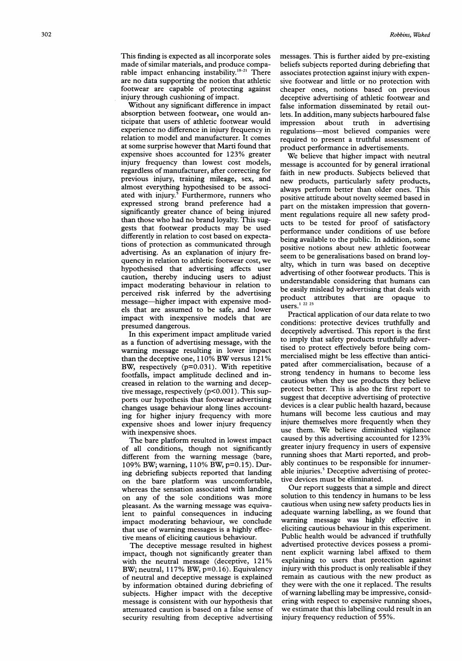This finding is expected as all incorporate soles made of similar materials, and produce comparable impact enhancing instability.<sup>18-21</sup> There are no data supporting the notion that athletic footwear are capable of protecting against injury through cushioning of impact.

Without any significant difference in impact absorption between footwear, one would anticipate that users of athletic footwear would experience no difference in injury frequency in relation to model and manufacturer. It comes at some surprise however that Marti found that expensive shoes accounted for 123% greater injury frequency than lowest cost models, regardless of manufacturer, after correcting for previous injury, training mileage, sex, and almost everything hypothesised to be associated with injury.<sup>5</sup> Furthermore, runners who expressed strong brand preference had a significantly greater chance of being injured than those who had no brand loyalty. This suggests that footwear products may be used differently in relation to cost based on expectations of protection as communicated through advertising. As an explanation of injury frequency in relation to athletic footwear cost, we hypothesised that advertising affects user caution, thereby inducing users to adjust impact moderating behaviour in relation to perceived risk inferred by the advertising message-higher impact with expensive models that are assumed to be safe, and lower impact with inexpensive models that are presumed dangerous.

In this experiment impact amplitude varied as a function of advertising message, with the warning message resulting in lower impact than the deceptive one, <sup>1</sup> 10% BW versus 121% BW, respectively (p=0.031). With repetitive footfalls, impact amplitude declined and increased in relation to the warning and deceptive message, respectively (p<0.001). This supports our hypothesis that footwear advertising changes usage behaviour along lines accounting for higher injury frequency with more expensive shoes and lower injury frequency with inexpensive shoes.

The bare platform resulted in lowest impact of all conditions, though not significantly different from the warning message (bare, 109% BW; warning, 1 0% BW, p=O. 15). During debriefing subjects reported that landing on the bare platform was uncomfortable, whereas the sensation associated with landing on any of the sole conditions was more pleasant. As the warning message was equivalent to painful consequences in inducing impact moderating behaviour, we conclude that use of warning messages is a highly effective means of eliciting cautious behaviour.

The deceptive message resulted in highest impact, though not significantly greater than with the neutral message (deceptive, 121% BW; neutral, 117% BW, p=0.16). Equivalency of neutral and deceptive message is explained by information obtained during debriefing of subjects. Higher impact with the deceptive message is consistent with our hypothesis that attenuated caution is based on a false sense of security resulting from deceptive advertising

messages. This is further aided by pre-existing beliefs subjects reported during debriefing that associates protection against injury with expensive footwear and little or no protection with cheaper ones, notions based on previous deceptive advertising of athletic footwear and false information disseminated by retail outlets. In addition, many subjects harboured false impression about truth in advertising regulations-most believed companies were required to present a truthful assessment of product performance in advertisements.

We believe that higher impact with neutral message is accounted for by general irrational faith in new products. Subjects believed that new products, particularly safety products, always perform better than older ones. This positive attitude about novelty seemed based in part on the mistaken impression that government regulations require all new safety products to be tested for proof of satisfactory performance under conditions of use before being available to the public. In addition, some positive notions about new athletic footwear seem to be generalisations based on brand loyalty, which in turn was based on deceptive advertising of other footwear products. This is understandable considering that humans can be easily mislead by advertising that deals with product attributes that are opaque to users.' <sup>22</sup> <sup>23</sup>

Practical application of our data relate to two conditions: protective devices truthfully and deceptively advertised. This report is the first to imply that safety products truthfully advertised to protect effectively before being commercialised might be less effective than anticipated after commercialisation, because of a strong tendency in humans to become less cautious when they use products they believe protect better. This is also the first report to suggest that deceptive advertising of protective devices is a clear public health hazard, because humans will become less cautious and may injure themselves more frequently when they use them. We believe diminished vigilance caused by this advertising accounted for 123% greater injury frequency in users of expensive running shoes that Marti reported, and probably continues to be responsible for innumerable injuries.<sup>5</sup> Deceptive advertising of protective devices must be eliminated.

Our report suggests that a simple and direct solution to this tendency in humans to be less cautious when using new safety products lies in adequate warning labelling, as we found that warning message was highly effective in eliciting cautious behaviour in this experiment. Public health would be advanced if truthfully advertised protective devices possess a prominent explicit warning label affixed to them explaining to users that protection against injury with this product is only realisable if they remain as cautious with the new product as they were with the one it replaced. The results of warning labelling may be impressive, considering with respect to expensive running shoes, we estimate that this labelling could result in an injury frequency reduction of 55%.